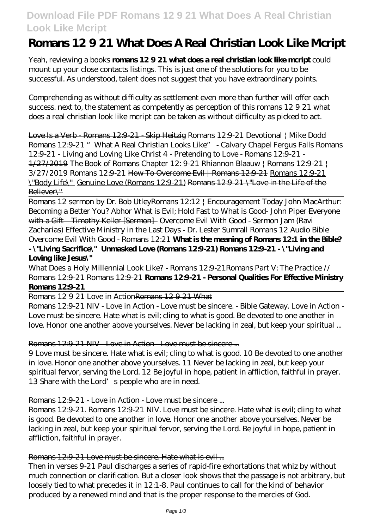# **Download File PDF Romans 12 9 21 What Does A Real Christian Look Like Mcript**

# **Romans 12 9 21 What Does A Real Christian Look Like Mcript**

Yeah, reviewing a books **romans 12 9 21 what does a real christian look like mcript** could mount up your close contacts listings. This is just one of the solutions for you to be successful. As understood, talent does not suggest that you have extraordinary points.

Comprehending as without difficulty as settlement even more than further will offer each success. next to, the statement as competently as perception of this romans 12 9 21 what does a real christian look like mcript can be taken as without difficulty as picked to act.

Love Is a Verb - Romans 12:9-21 - Skip Heitzig *Romans 12:9-21 Devotional | Mike Dodd Romans 12:9-21 "What A Real Christian Looks Like" - Calvary Chapel Fergus Falls Romans 12:9-21 - Living and Loving Like Christ* 4 - Pretending to Love - Romans 12:9-21 - 1/27/2019 The Book of Romans Chapter 12: 9-21 *Rhiannon Blaauw | Romans 12:9-21 | 3/27/2019 Romans 12:9-21* How To Overcome Evil | Romans 12:9-21 Romans 12:9-21 \"Body Life\" Genuine Love (Romans 12:9-21) Romans 12:9-21 \"Love in the Life of the Believer\"

Romans 12 sermon by Dr. Bob Utley*Romans 12:12 | Encouragement Today John MacArthur: Becoming a Better You? Abhor What is Evil; Hold Fast to What is Good- John Piper* Everyone with a Gift – Timothy Keller [Sermon] Overcome Evil With Good - Sermon Jam (Ravi Zacharias) *Effective Ministry in the Last Days - Dr. Lester Sumrall Romans 12 Audio Bible Overcome Evil With Good - Romans 12:21* **What is the meaning of Romans 12:1 in the Bible? - \"Living Sacrifice\" Unmasked Love (Romans 12:9-21) Romans 12:9-21 - \"Living and Loving like Jesus\"**

What Does a Holy Millennial Look Like? - Romans 12:9-21*Romans Part V: The Practice // Romans 12:9-21 Romans 12:9-21* **Romans 12:9-21 - Personal Qualities For Effective Ministry Romans 12:9-21**

Romans 12921 Love in ActionRomans 12921 What

Romans 12:9-21 NIV - Love in Action - Love must be sincere. - Bible Gateway. Love in Action - Love must be sincere. Hate what is evil; cling to what is good. Be devoted to one another in love. Honor one another above yourselves. Never be lacking in zeal, but keep your spiritual ...

### Romans 12:9-21 NIV - Love in Action - Love must be sincere ...

9 Love must be sincere. Hate what is evil; cling to what is good. 10 Be devoted to one another in love. Honor one another above yourselves. 11 Never be lacking in zeal, but keep your spiritual fervor, serving the Lord. 12 Be joyful in hope, patient in affliction, faithful in prayer. 13 Share with the Lord's people who are in need.

### Romans 12:9-21 - Love in Action - Love must be sincere ...

Romans 12:9-21. Romans 12:9-21 NIV. Love must be sincere. Hate what is evil; cling to what is good. Be devoted to one another in love. Honor one another above yourselves. Never be lacking in zeal, but keep your spiritual fervor, serving the Lord. Be joyful in hope, patient in affliction, faithful in prayer.

Romans 12:9-21 Love must be sincere. Hate what is evil ...

Then in verses 9-21 Paul discharges a series of rapid-fire exhortations that whiz by without much connection or clarification. But a closer look shows that the passage is not arbitrary, but loosely tied to what precedes it in 12:1-8. Paul continues to call for the kind of behavior produced by a renewed mind and that is the proper response to the mercies of God.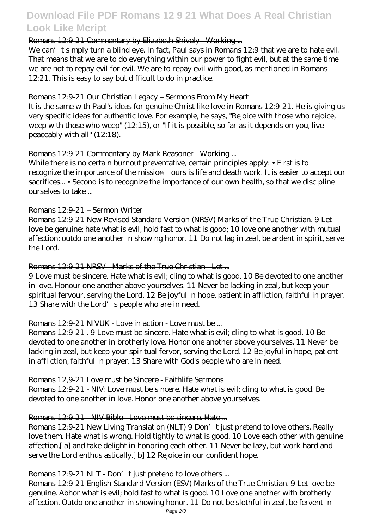# **Download File PDF Romans 12 9 21 What Does A Real Christian Look Like Mcript**

# Romans 12:9-21 Commentary by Elizabeth Shively - Working ...

We can't simply turn a blind eye. In fact, Paul says in Romans 12:9 that we are to hate evil. That means that we are to do everything within our power to fight evil, but at the same time we are not to repay evil for evil. We are to repay evil with good, as mentioned in Romans 12:21. This is easy to say but difficult to do in practice.

## Romans 12:9-21 Our Christian Legacy – Sermons From My Heart

It is the same with Paul's ideas for genuine Christ-like love in Romans 12:9-21. He is giving us very specific ideas for authentic love. For example, he says, "Rejoice with those who rejoice, weep with those who weep" (12:15), or "If it is possible, so far as it depends on you, live peaceably with all" (12:18).

# Romans 12:9-21 Commentary by Mark Reasoner - Working ...

While there is no certain burnout preventative, certain principles apply: • First is to recognize the importance of the mission—ours is life and death work. It is easier to accept our sacrifices... • Second is to recognize the importance of our own health, so that we discipline ourselves to take ...

### Romans 12:9-21 – Sermon Writer

Romans 12:9-21 New Revised Standard Version (NRSV) Marks of the True Christian. 9 Let love be genuine; hate what is evil, hold fast to what is good; 10 love one another with mutual affection; outdo one another in showing honor. 11 Do not lag in zeal, be ardent in spirit, serve the Lord.

## Romans 12:9-21 NRSV - Marks of the True Christian - Let ...

9 Love must be sincere. Hate what is evil; cling to what is good. 10 Be devoted to one another in love. Honour one another above yourselves. 11 Never be lacking in zeal, but keep your spiritual fervour, serving the Lord. 12 Be joyful in hope, patient in affliction, faithful in prayer. 13 Share with the Lord's people who are in need.

# Romans 12:9-21 NIVUK Love in action Love must be ...

Romans 12:9-21 . 9 Love must be sincere. Hate what is evil; cling to what is good. 10 Be devoted to one another in brotherly love. Honor one another above yourselves. 11 Never be lacking in zeal, but keep your spiritual fervor, serving the Lord. 12 Be joyful in hope, patient in affliction, faithful in prayer. 13 Share with God's people who are in need.

### Romans 12,9-21 Love must be Sincere - Faithlife Sermons

Romans 12:9-21 - NIV: Love must be sincere. Hate what is evil; cling to what is good. Be devoted to one another in love. Honor one another above yourselves.

### Romans 12:9-21 - NIV Bible - Love must be sincere. Hate ...

Romans 12:9-21 New Living Translation (NLT) 9 Don't just pretend to love others. Really love them. Hate what is wrong. Hold tightly to what is good. 10 Love each other with genuine affection,[ a] and take delight in honoring each other. 11 Never be lazy, but work hard and serve the Lord enthusiastically.[ b] 12 Rejoice in our confident hope.

### Romans  $12:921$  NLT - Don't just pretend to love others ...

Romans 12:9-21 English Standard Version (ESV) Marks of the True Christian. 9 Let love be genuine. Abhor what is evil; hold fast to what is good. 10 Love one another with brotherly affection. Outdo one another in showing honor. 11 Do not be slothful in zeal, be fervent in